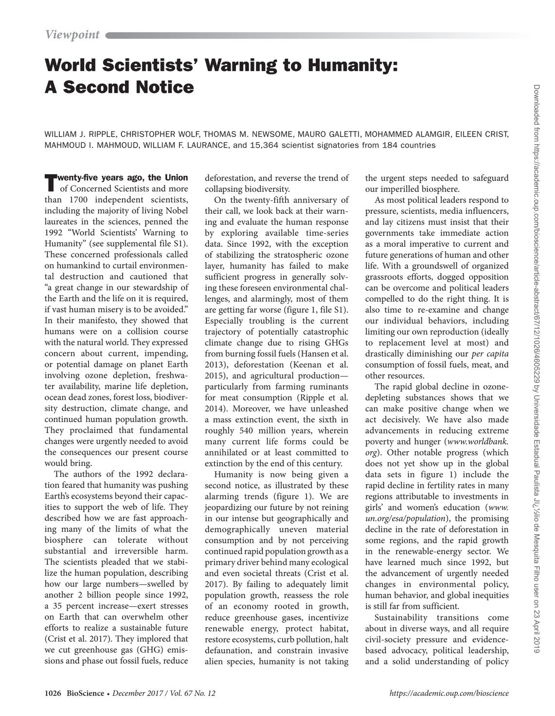# World Scientists' Warning to Humanity: A Second Notice

WILLIAM J. RIPPLE, CHRISTOPHER WOLF, THOMAS M. NEWSOME, MAURO GALETTI, MOHAMMED ALAMGIR, EILEEN CRIST, MAHMOUD I. MAHMOUD, WILLIAM F. LAURANCE, and 15,364 scientist signatories from 184 countries

Twenty-five years ago, the Union of Concerned Scientists and more than 1700 independent scientists, including the majority of living Nobel laureates in the sciences, penned the 1992 "World Scientists' Warning to Humanity" (see supplemental file S1). These concerned professionals called on humankind to curtail environmental destruction and cautioned that "a great change in our stewardship of the Earth and the life on it is required, if vast human misery is to be avoided." In their manifesto, they showed that humans were on a collision course with the natural world. They expressed concern about current, impending, or potential damage on planet Earth involving ozone depletion, freshwater availability, marine life depletion, ocean dead zones, forest loss, biodiversity destruction, climate change, and continued human population growth. They proclaimed that fundamental changes were urgently needed to avoid the consequences our present course would bring.

The authors of the 1992 declaration feared that humanity was pushing Earth's ecosystems beyond their capacities to support the web of life. They described how we are fast approaching many of the limits of what the biosphere can tolerate without substantial and irreversible harm. The scientists pleaded that we stabilize the human population, describing how our large numbers—swelled by another 2 billion people since 1992, a 35 percent increase—exert stresses on Earth that can overwhelm other efforts to realize a sustainable future (Crist et al. 2017). They implored that we cut greenhouse gas (GHG) emissions and phase out fossil fuels, reduce

deforestation, and reverse the trend of collapsing biodiversity.

On the twenty-fifth anniversary of their call, we look back at their warning and evaluate the human response by exploring available time-series data. Since 1992, with the exception of stabilizing the stratospheric ozone layer, humanity has failed to make sufficient progress in generally solving these foreseen environmental challenges, and alarmingly, most of them are getting far worse (figure 1, file S1). Especially troubling is the current trajectory of potentially catastrophic climate change due to rising GHGs from burning fossil fuels (Hansen et al. 2013), deforestation (Keenan et al. 2015), and agricultural production particularly from farming ruminants for meat consumption (Ripple et al. 2014). Moreover, we have unleashed a mass extinction event, the sixth in roughly 540 million years, wherein many current life forms could be annihilated or at least committed to extinction by the end of this century.

Humanity is now being given a second notice, as illustrated by these alarming trends (figure 1). We are jeopardizing our future by not reining in our intense but geographically and demographically uneven material consumption and by not perceiving continued rapid population growth as a primary driver behind many ecological and even societal threats (Crist et al. 2017). By failing to adequately limit population growth, reassess the role of an economy rooted in growth, reduce greenhouse gases, incentivize renewable energy, protect habitat, restore ecosystems, curb pollution, halt defaunation, and constrain invasive alien species, humanity is not taking

the urgent steps needed to safeguard our imperilled biosphere.

As most political leaders respond to pressure, scientists, media influencers, and lay citizens must insist that their governments take immediate action as a moral imperative to current and future generations of human and other life. With a groundswell of organized grassroots efforts, dogged opposition can be overcome and political leaders compelled to do the right thing. It is also time to re-examine and change our individual behaviors, including limiting our own reproduction (ideally to replacement level at most) and drastically diminishing our *per capita* consumption of fossil fuels, meat, and other resources.

The rapid global decline in ozonedepleting substances shows that we can make positive change when we act decisively. We have also made advancements in reducing extreme poverty and hunger (*www.worldbank. org*). Other notable progress (which does not yet show up in the global data sets in figure 1) include the rapid decline in fertility rates in many regions attributable to investments in girls' and women's education (*www. un.org/esa/population*), the promising decline in the rate of deforestation in some regions, and the rapid growth in the renewable-energy sector. We have learned much since 1992, but the advancement of urgently needed changes in environmental policy, human behavior, and global inequities is still far from sufficient.

Sustainability transitions come about in diverse ways, and all require civil-society pressure and evidencebased advocacy, political leadership, and a solid understanding of policy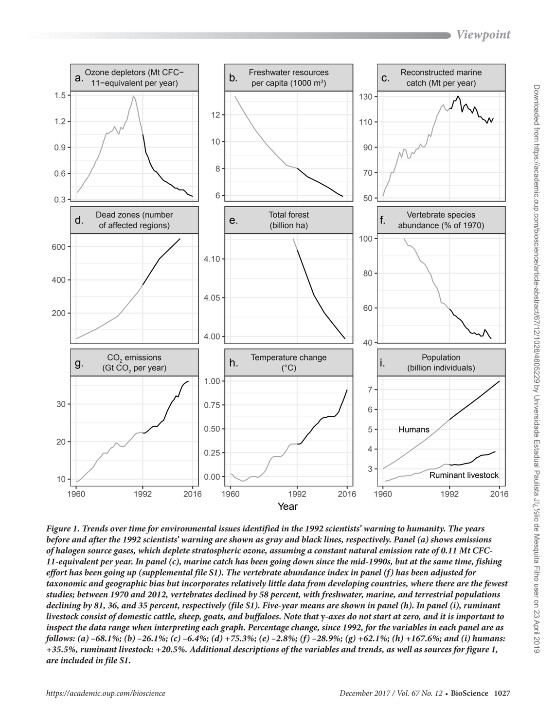# *Viewpoint*



*Figure 1. Trends over time for environmental issues identified in the 1992 scientists' warning to humanity. The years before and after the 1992 scientists' warning are shown as gray and black lines, respectively. Panel (a) shows emissions of halogen source gases, which deplete stratospheric ozone, assuming a constant natural emission rate of 0.11 Mt CFC-11-equivalent per year. In panel (c), marine catch has been going down since the mid-1990s, but at the same time, fishing effort has been going up (supplemental file S1). The vertebrate abundance index in panel (f) has been adjusted for taxonomic and geographic bias but incorporates relatively little data from developing countries, where there are the fewest studies; between 1970 and 2012, vertebrates declined by 58 percent, with freshwater, marine, and terrestrial populations declining by 81, 36, and 35 percent, respectively (file S1). Five-year means are shown in panel (h). In panel (i), ruminant livestock consist of domestic cattle, sheep, goats, and buffaloes. Note that* **y***-axes do not start at zero, and it is important to inspect the data range when interpreting each graph. Percentage change, since 1992, for the variables in each panel are as follows: (a) –68.1%; (b) –26.1%; (c) –6.4%; (d) +75.3%; (e) –2.8%; (f) –28.9%; (g) +62.1%; (h) +167.6%; and (i) humans: +35.5%, ruminant livestock: +20.5%. Additional descriptions of the variables and trends, as well as sources for figure 1, are included in file S1.*